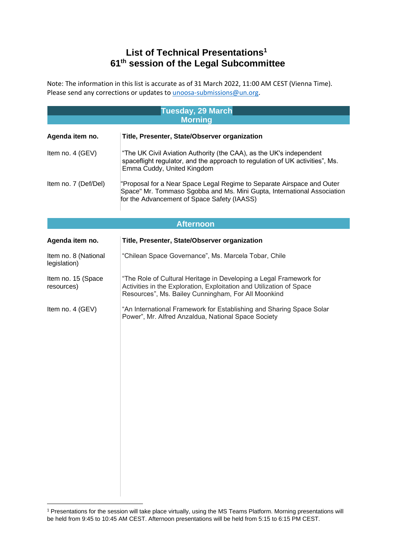## **List of Technical Presentations<sup>1</sup> 61th session of the Legal Subcommittee**

Note: The information in this list is accurate as of 31 March 2022, 11:00 AM CEST (Vienna Time). Please send any corrections or updates to **unoosa-submissions@un.org**.

|                                      | <b>Tuesday, 29 March</b>                                                                                                                                                                          |  |
|--------------------------------------|---------------------------------------------------------------------------------------------------------------------------------------------------------------------------------------------------|--|
| <b>Morning</b>                       |                                                                                                                                                                                                   |  |
| Agenda item no.                      | Title, Presenter, State/Observer organization                                                                                                                                                     |  |
| Item no. 4 (GEV)                     | "The UK Civil Aviation Authority (the CAA), as the UK's independent<br>spaceflight regulator, and the approach to regulation of UK activities", Ms.<br>Emma Cuddy, United Kingdom                 |  |
| Item no. 7 (Def/Del)                 | "Proposal for a Near Space Legal Regime to Separate Airspace and Outer<br>Space" Mr. Tommaso Sgobba and Ms. Mini Gupta, International Association<br>for the Advancement of Space Safety (IAASS)  |  |
| <b>Afternoon</b>                     |                                                                                                                                                                                                   |  |
| Agenda item no.                      | Title, Presenter, State/Observer organization                                                                                                                                                     |  |
| Item no. 8 (National<br>legislation) | "Chilean Space Governance", Ms. Marcela Tobar, Chile                                                                                                                                              |  |
| Item no. 15 (Space<br>resources)     | "The Role of Cultural Heritage in Developing a Legal Framework for<br>Activities in the Exploration, Exploitation and Utilization of Space<br>Resources", Ms. Bailey Cunningham, For All Moonkind |  |
| Item no. 4 (GEV)                     | "An International Framework for Establishing and Sharing Space Solar<br>Power", Mr. Alfred Anzaldua, National Space Society                                                                       |  |

<sup>&</sup>lt;sup>1</sup> Presentations for the session will take place virtually, using the MS Teams Platform. Morning presentations will be held from 9:45 to 10:45 AM CEST. Afternoon presentations will be held from 5:15 to 6:15 PM CEST.